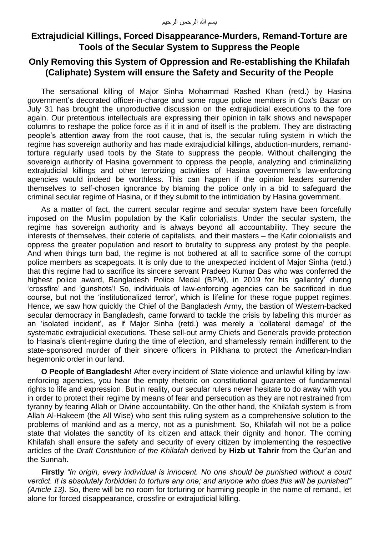## **Extrajudicial Killings, Forced Disappearance-Murders, Remand-Torture are Tools of the Secular System to Suppress the People**

## **Only Removing this System of Oppression and Re-establishing the Khilafah (Caliphate) System will ensure the Safety and Security of the People**

The sensational killing of Major Sinha Mohammad Rashed Khan (retd.) by Hasina government's decorated officer-in-charge and some rogue police members in Cox's Bazar on July 31 has brought the unproductive discussion on the extrajudicial executions to the fore again. Our pretentious intellectuals are expressing their opinion in talk shows and newspaper columns to reshape the police force as if it in and of itself is the problem. They are distracting people's attention away from the root cause, that is, the secular ruling system in which the regime has sovereign authority and has made extrajudicial killings, abduction-murders, remandtorture regularly used tools by the State to suppress the people. Without challenging the sovereign authority of Hasina government to oppress the people, analyzing and criminalizing extrajudicial killings and other terrorizing activities of Hasina government's law-enforcing agencies would indeed be worthless. This can happen if the opinion leaders surrender themselves to self-chosen ignorance by blaming the police only in a bid to safeguard the criminal secular regime of Hasina, or if they submit to the intimidation by Hasina government.

As a matter of fact, the current secular regime and secular system have been forcefully imposed on the Muslim population by the Kafir colonialists. Under the secular system, the regime has sovereign authority and is always beyond all accountability. They secure the interests of themselves, their coterie of capitalists, and their masters – the Kafir colonialists and oppress the greater population and resort to brutality to suppress any protest by the people. And when things turn bad, the regime is not bothered at all to sacrifice some of the corrupt police members as scapegoats. It is only due to the unexpected incident of Major Sinha (retd.) that this regime had to sacrifice its sincere servant Pradeep Kumar Das who was conferred the highest police award, Bangladesh Police Medal (BPM), in 2019 for his 'gallantry' during 'crossfire' and 'gunshots'! So, individuals of law-enforcing agencies can be sacrificed in due course, but not the 'institutionalized terror', which is lifeline for these rogue puppet regimes. Hence, we saw how quickly the Chief of the Bangladesh Army, the bastion of Western-backed secular democracy in Bangladesh, came forward to tackle the crisis by labeling this murder as an 'isolated incident', as if Major Sinha (retd.) was merely a 'collateral damage' of the systematic extrajudicial executions. These sell-out army Chiefs and Generals provide protection to Hasina's client-regime during the time of election, and shamelessly remain indifferent to the state-sponsored murder of their sincere officers in Pilkhana to protect the American-Indian hegemonic order in our land.

**O People of Bangladesh!** After every incident of State violence and unlawful killing by lawenforcing agencies, you hear the empty rhetoric on constitutional guarantee of fundamental rights to life and expression. But in reality, our secular rulers never hesitate to do away with you in order to protect their regime by means of fear and persecution as they are not restrained from tyranny by fearing Allah or Divine accountability. On the other hand, the Khilafah system is from Allah Al-Hakeem (the All Wise) who sent this ruling system as a comprehensive solution to the problems of mankind and as a mercy, not as a punishment. So, Khilafah will not be a police state that violates the sanctity of its citizen and attack their dignity and honor. The coming Khilafah shall ensure the safety and security of every citizen by implementing the respective articles of the *Draft Constitution of the Khilafah* derived by **Hizb ut Tahrir** from the Qur'an and the Sunnah.

**Firstly** *"In origin, every individual is innocent. No one should be punished without a court verdict. It is absolutely forbidden to torture any one; and anyone who does this will be punished" (Article 13).* So, there will be no room for torturing or harming people in the name of remand, let alone for forced disappearance, crossfire or extrajudicial killing.